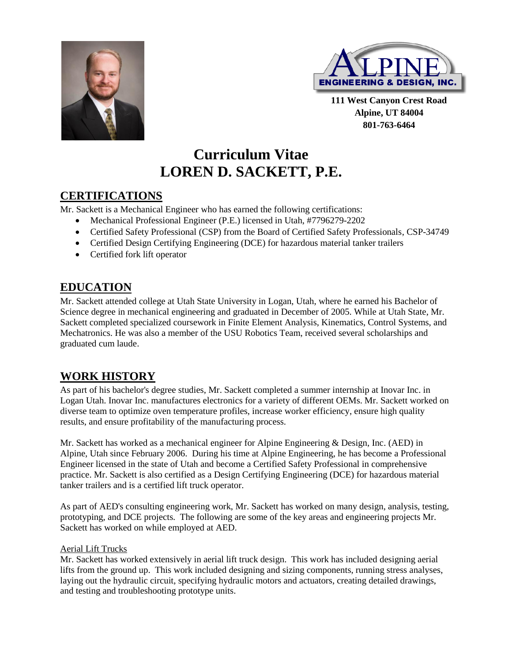



**111 West Canyon Crest Road Alpine, UT 84004 801-763-6464**

# **Curriculum Vitae LOREN D. SACKETT, P.E.**

# **CERTIFICATIONS**

Mr. Sackett is a Mechanical Engineer who has earned the following certifications:

- Mechanical Professional Engineer (P.E.) licensed in Utah, #7796279-2202
- Certified Safety Professional (CSP) from the Board of Certified Safety Professionals, CSP-34749
- Certified Design Certifying Engineering (DCE) for hazardous material tanker trailers
- Certified fork lift operator

# **EDUCATION**

Mr. Sackett attended college at Utah State University in Logan, Utah, where he earned his Bachelor of Science degree in mechanical engineering and graduated in December of 2005. While at Utah State, Mr. Sackett completed specialized coursework in Finite Element Analysis, Kinematics, Control Systems, and Mechatronics. He was also a member of the USU Robotics Team, received several scholarships and graduated cum laude.

# **WORK HISTORY**

As part of his bachelor's degree studies, Mr. Sackett completed a summer internship at Inovar Inc. in Logan Utah. Inovar Inc. manufactures electronics for a variety of different OEMs. Mr. Sackett worked on diverse team to optimize oven temperature profiles, increase worker efficiency, ensure high quality results, and ensure profitability of the manufacturing process.

Mr. Sackett has worked as a mechanical engineer for Alpine Engineering & Design, Inc. (AED) in Alpine, Utah since February 2006. During his time at Alpine Engineering, he has become a Professional Engineer licensed in the state of Utah and become a Certified Safety Professional in comprehensive practice. Mr. Sackett is also certified as a Design Certifying Engineering (DCE) for hazardous material tanker trailers and is a certified lift truck operator.

As part of AED's consulting engineering work, Mr. Sackett has worked on many design, analysis, testing, prototyping, and DCE projects. The following are some of the key areas and engineering projects Mr. Sackett has worked on while employed at AED.

#### Aerial Lift Trucks

Mr. Sackett has worked extensively in aerial lift truck design. This work has included designing aerial lifts from the ground up. This work included designing and sizing components, running stress analyses, laying out the hydraulic circuit, specifying hydraulic motors and actuators, creating detailed drawings, and testing and troubleshooting prototype units.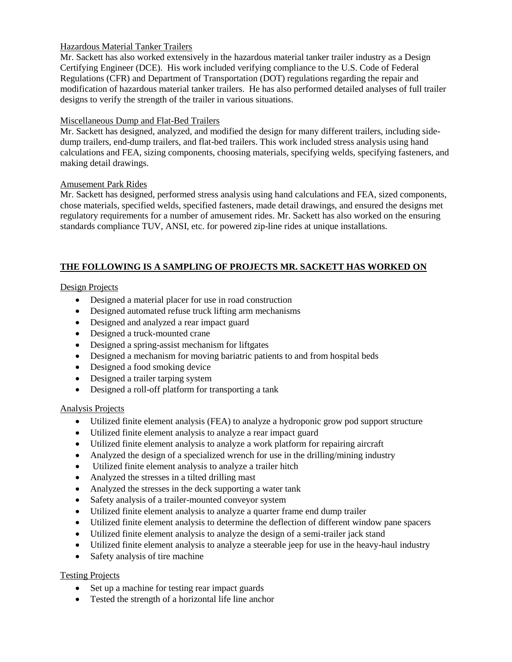#### Hazardous Material Tanker Trailers

Mr. Sackett has also worked extensively in the hazardous material tanker trailer industry as a Design Certifying Engineer (DCE). His work included verifying compliance to the U.S. Code of Federal Regulations (CFR) and Department of Transportation (DOT) regulations regarding the repair and modification of hazardous material tanker trailers. He has also performed detailed analyses of full trailer designs to verify the strength of the trailer in various situations.

#### Miscellaneous Dump and Flat-Bed Trailers

Mr. Sackett has designed, analyzed, and modified the design for many different trailers, including sidedump trailers, end-dump trailers, and flat-bed trailers. This work included stress analysis using hand calculations and FEA, sizing components, choosing materials, specifying welds, specifying fasteners, and making detail drawings.

#### Amusement Park Rides

Mr. Sackett has designed, performed stress analysis using hand calculations and FEA, sized components, chose materials, specified welds, specified fasteners, made detail drawings, and ensured the designs met regulatory requirements for a number of amusement rides. Mr. Sackett has also worked on the ensuring standards compliance TUV, ANSI, etc. for powered zip-line rides at unique installations.

### **THE FOLLOWING IS A SAMPLING OF PROJECTS MR. SACKETT HAS WORKED ON**

### Design Projects

- Designed a material placer for use in road construction
- Designed automated refuse truck lifting arm mechanisms
- Designed and analyzed a rear impact guard
- Designed a truck-mounted crane
- Designed a spring-assist mechanism for liftgates
- Designed a mechanism for moving bariatric patients to and from hospital beds
- Designed a food smoking device
- Designed a trailer tarping system
- Designed a roll-off platform for transporting a tank

### Analysis Projects

- Utilized finite element analysis (FEA) to analyze a hydroponic grow pod support structure
- Utilized finite element analysis to analyze a rear impact guard
- Utilized finite element analysis to analyze a work platform for repairing aircraft
- Analyzed the design of a specialized wrench for use in the drilling/mining industry
- Utilized finite element analysis to analyze a trailer hitch
- Analyzed the stresses in a tilted drilling mast
- Analyzed the stresses in the deck supporting a water tank
- Safety analysis of a trailer-mounted conveyor system
- Utilized finite element analysis to analyze a quarter frame end dump trailer
- Utilized finite element analysis to determine the deflection of different window pane spacers
- Utilized finite element analysis to analyze the design of a semi-trailer jack stand
- Utilized finite element analysis to analyze a steerable jeep for use in the heavy-haul industry
- Safety analysis of tire machine

### Testing Projects

- Set up a machine for testing rear impact guards
- Tested the strength of a horizontal life line anchor